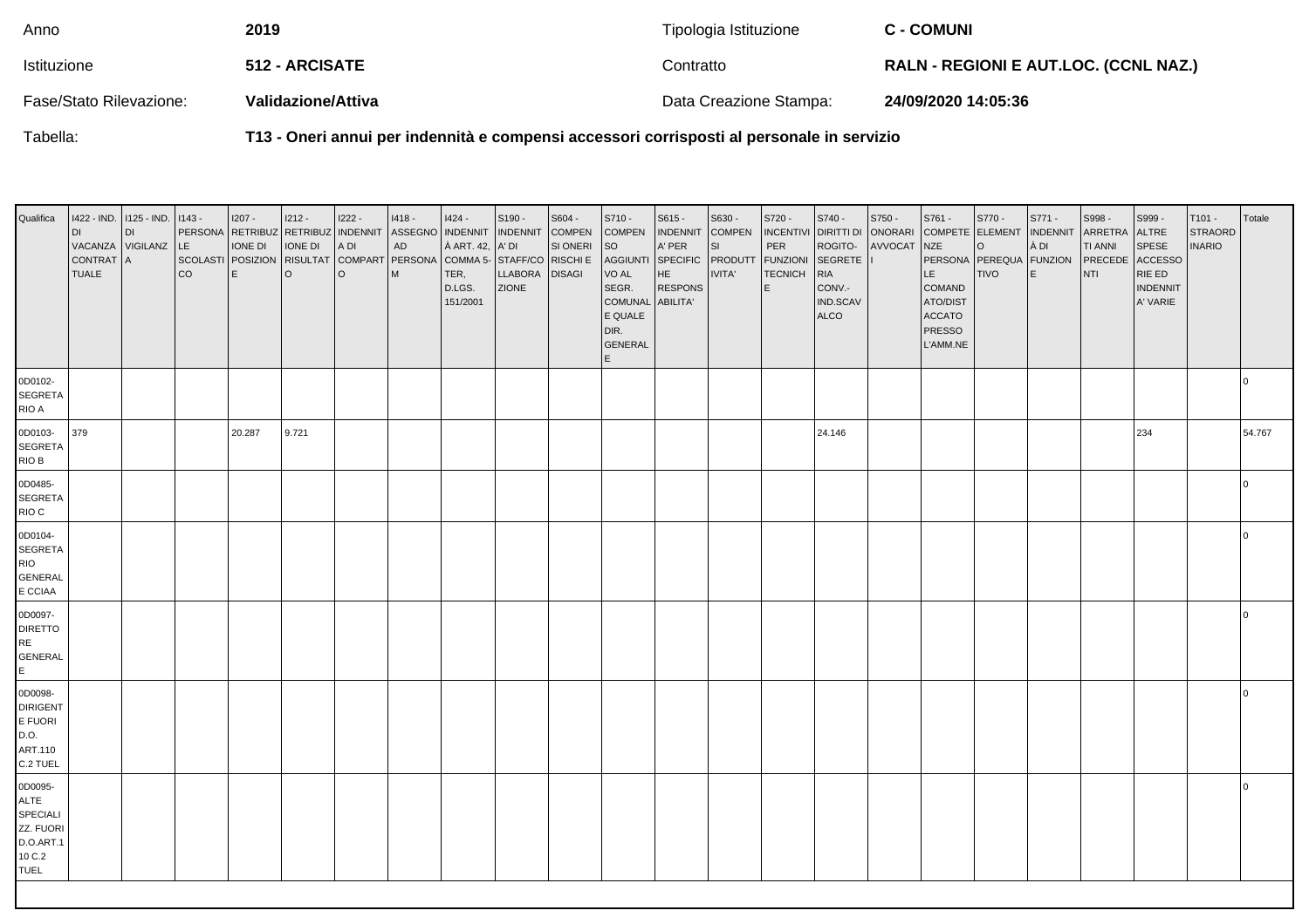| Anno                    | 2019               | Tipologia Istituzione  | <b>C - COMUNI</b>                            |
|-------------------------|--------------------|------------------------|----------------------------------------------|
| Istituzione             | 512 - ARCISATE     | Contratto              | <b>RALN - REGIONI E AUT.LOC. (CCNL NAZ.)</b> |
| Fase/Stato Rilevazione: | Validazione/Attiva | Data Creazione Stampa: | 24/09/2020 14:05:36                          |

Tabella:

**T13 - Oneri annui per indennità e compensi accessori corrisposti al personale in servizio**

| Qualifica                                                                      | l di<br>CONTRAT A<br><b>TUALE</b> | 1422 - IND. 1125 - IND.<br><b>DI</b><br>VACANZA VIGILANZ LE | $ 1143 -$<br>SCOLASTI POSIZION<br> co | $1207 -$<br>IONE DI<br>$\mathsf{E}$ | $1212 -$<br><b>IONE DI</b><br><b>RISULTAT</b><br>$\circ$ | $1222 -$<br>PERSONA RETRIBUZ RETRIBUZ INDENNIT<br>A DI<br>l O | $1418 -$<br>ASSEGNO   INDENNIT<br>${\sf AD}$<br>COMPART PERSONA<br>M | $1424 -$<br>À ART. 42,<br>COMMA 5- STAFF/CO RISCHI E<br>TER,<br>D.LGS.<br>151/2001 | S190 -<br><b>INDENNIT</b><br>A' DI<br>LLABORA<br><b>ZIONE</b> | S604 -<br><b>COMPEN</b><br>SI ONERI<br><b>DISAGI</b> | S710 -<br><b>COMPEN</b><br><b>SO</b><br><b>AGGIUNTI</b><br>VO AL<br>SEGR.<br>COMUNAL<br>E QUALE<br>DIR.<br>GENERAL<br>E. | S615 -<br>INDENNIT<br>A' PER<br><b>SPECIFIC</b><br>HE<br><b>RESPONS</b><br>ABILITA' | S630 -<br><b>COMPEN</b><br>SI<br>PRODUTT<br>IVITA' | S720 -<br>PER<br><b>FUNZIONI</b><br><b>TECNICH</b><br>E | S740 -<br>ROGITO-<br>SEGRETE   <br><b>RIA</b><br>CONV.-<br>IND.SCAV<br><b>ALCO</b> | S750 -<br>INCENTIVI DIRITTI DI ONORARI COMPETE ELEMENT<br>AVVOCAT NZE | S761 -<br>LE.<br>COMAND<br>ATO/DIST<br><b>ACCATO</b><br><b>PRESSO</b><br>L'AMM.NE | S770 -<br>$\circ$<br>PERSONA PEREQUA FUNZION<br><b>TIVO</b> | S771 -<br><b>INDENNIT</b><br>À DI<br>E | S998-<br>ARRETRA<br><b>TI ANNI</b><br>PRECEDE<br><b>NTI</b> | S999-<br>ALTRE<br>SPESE<br><b>ACCESSO</b><br>RIE ED<br><b>INDENNIT</b><br>A' VARIE | $T101 -$<br><b>STRAORD</b><br><b>INARIO</b> | Totale         |
|--------------------------------------------------------------------------------|-----------------------------------|-------------------------------------------------------------|---------------------------------------|-------------------------------------|----------------------------------------------------------|---------------------------------------------------------------|----------------------------------------------------------------------|------------------------------------------------------------------------------------|---------------------------------------------------------------|------------------------------------------------------|--------------------------------------------------------------------------------------------------------------------------|-------------------------------------------------------------------------------------|----------------------------------------------------|---------------------------------------------------------|------------------------------------------------------------------------------------|-----------------------------------------------------------------------|-----------------------------------------------------------------------------------|-------------------------------------------------------------|----------------------------------------|-------------------------------------------------------------|------------------------------------------------------------------------------------|---------------------------------------------|----------------|
| 0D0102-<br><b>SEGRETA</b><br>RIO A                                             |                                   |                                                             |                                       |                                     |                                                          |                                                               |                                                                      |                                                                                    |                                                               |                                                      |                                                                                                                          |                                                                                     |                                                    |                                                         |                                                                                    |                                                                       |                                                                                   |                                                             |                                        |                                                             |                                                                                    |                                             | $\overline{0}$ |
| 0D0103-<br><b>SEGRETA</b><br>RIO B                                             | 379                               |                                                             |                                       | 20.287                              | 9.721                                                    |                                                               |                                                                      |                                                                                    |                                                               |                                                      |                                                                                                                          |                                                                                     |                                                    |                                                         | 24.146                                                                             |                                                                       |                                                                                   |                                                             |                                        |                                                             | 234                                                                                |                                             | 54.767         |
| 0D0485-<br><b>SEGRETA</b><br>RIO C                                             |                                   |                                                             |                                       |                                     |                                                          |                                                               |                                                                      |                                                                                    |                                                               |                                                      |                                                                                                                          |                                                                                     |                                                    |                                                         |                                                                                    |                                                                       |                                                                                   |                                                             |                                        |                                                             |                                                                                    |                                             | l O            |
| 0D0104-<br>SEGRETA<br><b>RIO</b><br><b>GENERAL</b><br>E CCIAA                  |                                   |                                                             |                                       |                                     |                                                          |                                                               |                                                                      |                                                                                    |                                                               |                                                      |                                                                                                                          |                                                                                     |                                                    |                                                         |                                                                                    |                                                                       |                                                                                   |                                                             |                                        |                                                             |                                                                                    |                                             | l 0            |
| 0D0097-<br><b>DIRETTO</b><br><b>RE</b><br><b>GENERAL</b><br>E                  |                                   |                                                             |                                       |                                     |                                                          |                                                               |                                                                      |                                                                                    |                                                               |                                                      |                                                                                                                          |                                                                                     |                                                    |                                                         |                                                                                    |                                                                       |                                                                                   |                                                             |                                        |                                                             |                                                                                    |                                             | l 0            |
| 0D0098-<br><b>DIRIGENT</b><br>E FUORI<br>D.O.<br>ART.110<br>C.2 TUEL           |                                   |                                                             |                                       |                                     |                                                          |                                                               |                                                                      |                                                                                    |                                                               |                                                      |                                                                                                                          |                                                                                     |                                                    |                                                         |                                                                                    |                                                                       |                                                                                   |                                                             |                                        |                                                             |                                                                                    |                                             | l 0            |
| 0D0095-<br>ALTE<br>SPECIALI<br>ZZ. FUORI<br>D.O.ART.1<br>10 C.2<br><b>TUEL</b> |                                   |                                                             |                                       |                                     |                                                          |                                                               |                                                                      |                                                                                    |                                                               |                                                      |                                                                                                                          |                                                                                     |                                                    |                                                         |                                                                                    |                                                                       |                                                                                   |                                                             |                                        |                                                             |                                                                                    |                                             | 0              |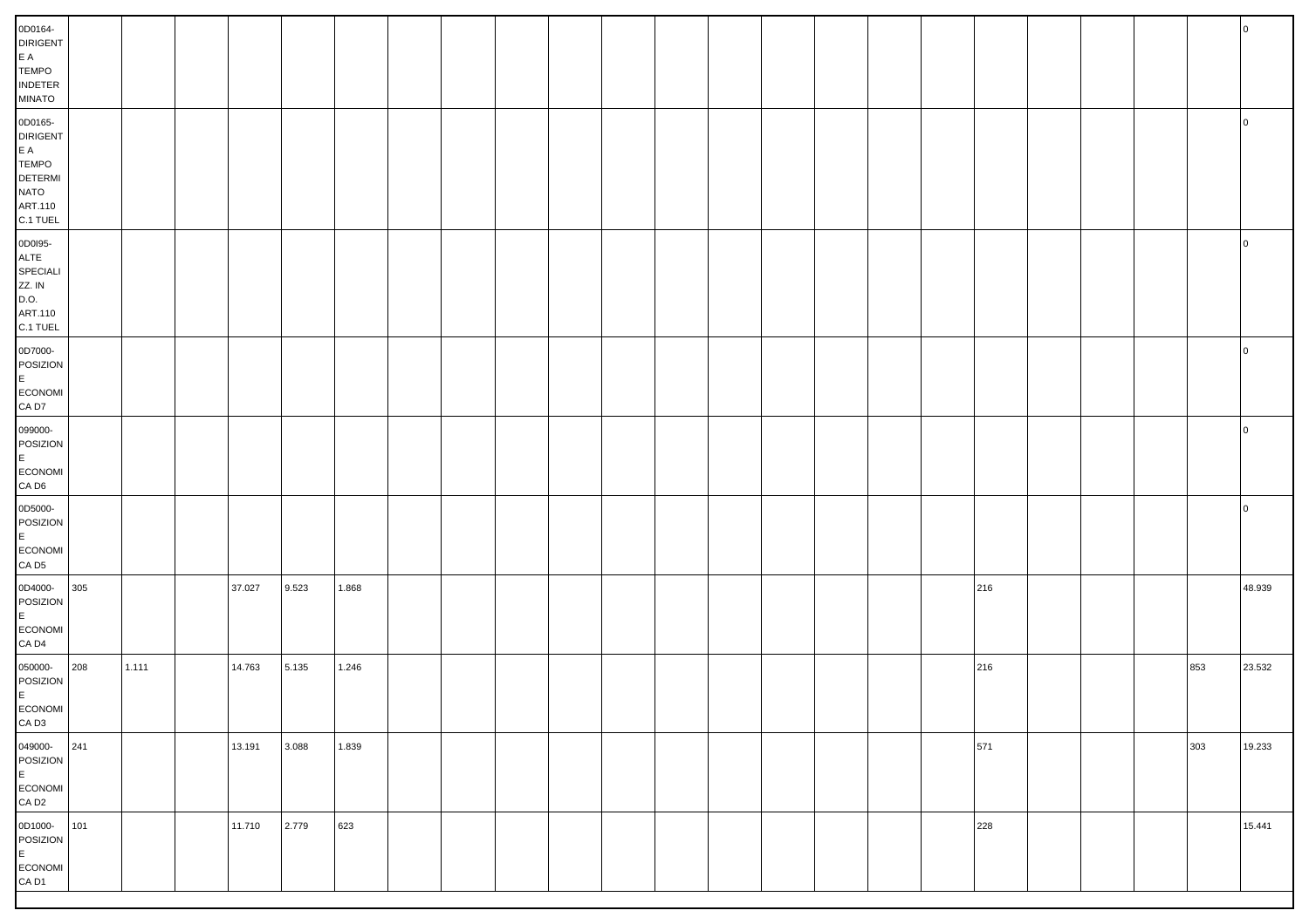| 0D0164-<br><b>DIRIGENT</b><br>$\mathsf{E}\hspace{0.1cm}\mathsf{A}$<br><b>TEMPO</b><br><b>INDETER</b><br><b>MINATO</b>            |     |       |        |       |       |  |  |  |  |  |     |  |     |                |
|----------------------------------------------------------------------------------------------------------------------------------|-----|-------|--------|-------|-------|--|--|--|--|--|-----|--|-----|----------------|
| 0D0165-<br><b>DIRIGENT</b><br>$\mathsf{E}\,\,\mathsf{A}$<br><b>TEMPO</b><br><b>DETERMI</b><br><b>NATO</b><br>ART.110<br>C.1 TUEL |     |       |        |       |       |  |  |  |  |  |     |  |     | <b>0</b>       |
| 0D0195-<br>ALTE<br>SPECIALI<br>ZZ. IN<br>D.O.<br>ART.110<br>C.1 TUEL                                                             |     |       |        |       |       |  |  |  |  |  |     |  |     | $\overline{0}$ |
| 0D7000-<br>POSIZION<br>E<br>ECONOMI<br>CA D7                                                                                     |     |       |        |       |       |  |  |  |  |  |     |  |     | 0              |
| 099000-<br>POSIZION<br>E<br>ECONOMI<br>$CA$ D <sub>6</sub>                                                                       |     |       |        |       |       |  |  |  |  |  |     |  |     | 0              |
| 0D5000-<br>POSIZION<br>E<br>ECONOMI<br>CA D <sub>5</sub>                                                                         |     |       |        |       |       |  |  |  |  |  |     |  |     | l O            |
| 0D4000-<br>POSIZION<br>E.<br>ECONOMI<br>CA D <sub>4</sub>                                                                        | 305 |       | 37.027 | 9.523 | 1.868 |  |  |  |  |  | 216 |  |     | 48.939         |
| 050000-<br>POSIZION<br>E<br>ECONOMI<br>$\mathsf{CA}\ \mathsf{D3}$                                                                | 208 | 1.111 | 14.763 | 5.135 | 1.246 |  |  |  |  |  | 216 |  | 853 | 23.532         |
| 049000-241<br>POSIZION<br>E<br>ECONOMI<br>CA D2                                                                                  |     |       | 13.191 | 3.088 | 1.839 |  |  |  |  |  | 571 |  | 303 | 19.233         |
| 0D1000- 101<br>POSIZION<br>E<br>ECONOMI<br>CA D1                                                                                 |     |       | 11.710 | 2.779 | 623   |  |  |  |  |  | 228 |  |     | 15.441         |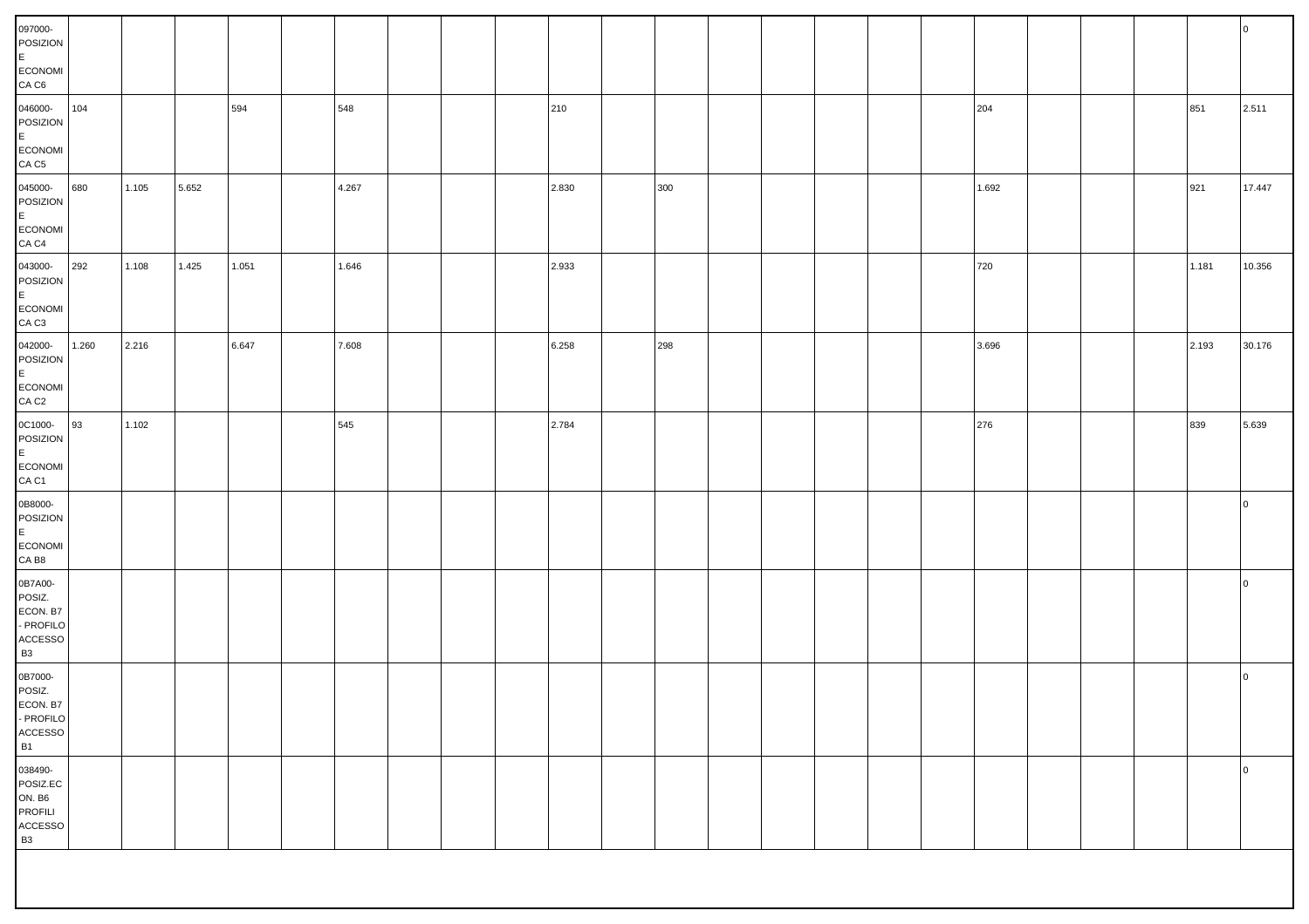| 097000-<br>POSIZION<br>E.<br>ECONOMI<br>CA <sub>CG</sub>                            |       |       |       |       |       |  |       |     |  |  |       |  |       | $\overline{0}$ |
|-------------------------------------------------------------------------------------|-------|-------|-------|-------|-------|--|-------|-----|--|--|-------|--|-------|----------------|
| 046000-<br>POSIZION<br>E.<br>ECONOMI<br>CA <sub>C5</sub>                            | 104   |       |       | 594   | 548   |  | 210   |     |  |  | 204   |  | 851   | 2.511          |
| 045000-<br>POSIZION<br>E.<br>ECONOMI<br>CA <sub>C4</sub>                            | 680   | 1.105 | 5.652 |       | 4.267 |  | 2.830 | 300 |  |  | 1.692 |  | 921   | 17.447         |
| 043000-<br>POSIZION<br>E<br>ECONOMI<br>CA <sub>C</sub> 3                            | 292   | 1.108 | 1.425 | 1.051 | 1.646 |  | 2.933 |     |  |  | 720   |  | 1.181 | 10.356         |
| 042000-<br>POSIZION<br>E<br>ECONOMI<br>CA <sub>C2</sub>                             | 1.260 | 2.216 |       | 6.647 | 7.608 |  | 6.258 | 298 |  |  | 3.696 |  | 2.193 | 30.176         |
| 0C1000-<br>POSIZION<br>E.<br>ECONOMI<br>CA C1                                       | 93    | 1.102 |       |       | 545   |  | 2.784 |     |  |  | 276   |  | 839   | 5.639          |
| 0B8000-<br>POSIZION<br>E<br>ECONOMI<br>CA B8                                        |       |       |       |       |       |  |       |     |  |  |       |  |       | $\overline{0}$ |
| 0B7A00-<br>POSIZ.<br>ECON. B7<br>- PROFILO<br>$\mathsf{ACCESSO}$<br><b>B3</b>       |       |       |       |       |       |  |       |     |  |  |       |  |       | $\overline{0}$ |
| 0B7000-<br>POSIZ.<br>ECON. B7<br>- PROFILO<br>$\mathsf{ACCESSO}$<br><b>B1</b>       |       |       |       |       |       |  |       |     |  |  |       |  |       | $\circ$        |
| 038490-<br>POSIZ.EC<br><b>ON. B6</b><br><b>PROFILI</b><br>ACCESSO<br>B <sub>3</sub> |       |       |       |       |       |  |       |     |  |  |       |  |       | $\overline{0}$ |
|                                                                                     |       |       |       |       |       |  |       |     |  |  |       |  |       |                |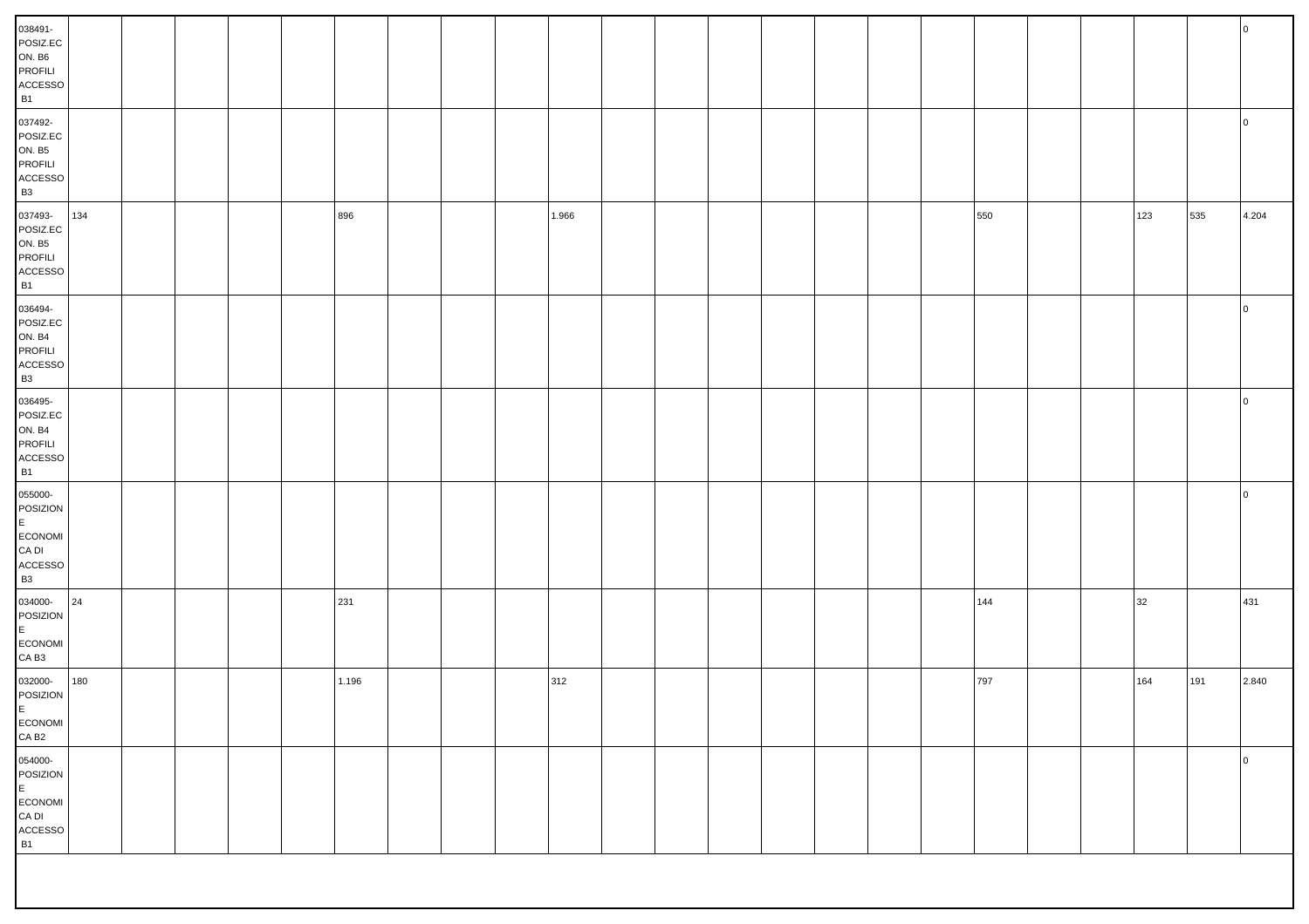| 038491-<br>POSIZ.EC<br>ON. B6<br>PROFILI<br>$\mathsf{ACCESSO}$<br><b>B1</b>        |     |  |  |       |  |       |  |  |  |       |  |     |     | <b>0</b>       |
|------------------------------------------------------------------------------------|-----|--|--|-------|--|-------|--|--|--|-------|--|-----|-----|----------------|
| 037492-<br>POSIZ.EC<br><b>ON. B5</b><br>PROFILI<br>$\mathsf{ACCESSO}$<br><b>B3</b> |     |  |  |       |  |       |  |  |  |       |  |     |     | $\circ$        |
| 037493-<br>POSIZ.EC<br><b>ON. B5</b><br>PROFILI<br>ACCESSO<br><b>B1</b>            | 134 |  |  | 896   |  | 1.966 |  |  |  | 550   |  | 123 | 535 | 4.204          |
| 036494-<br>POSIZ.EC<br><b>ON. B4</b><br>PROFILI<br>$\mathsf{ACCESSO}$<br><b>B3</b> |     |  |  |       |  |       |  |  |  |       |  |     |     | $\circ$        |
| 036495-<br>POSIZ.EC<br><b>ON. B4</b><br>PROFILI<br>$\mathsf{ACCESSO}$<br><b>B1</b> |     |  |  |       |  |       |  |  |  |       |  |     |     | $\overline{0}$ |
| 055000-<br>POSIZION<br>E<br>ECONOMI<br>CA DI<br>${\sf ACCESSO}$<br><b>B3</b>       |     |  |  |       |  |       |  |  |  |       |  |     |     | $\overline{0}$ |
| 034000-<br>POSIZION<br>E.<br>ECONOMI<br>CA B <sub>3</sub>                          | 24  |  |  | 231   |  |       |  |  |  | $144$ |  | 32  |     | 431            |
| 032000-<br>POSIZION<br>E<br>ECONOMI<br>CA B <sub>2</sub>                           | 180 |  |  | 1.196 |  | 312   |  |  |  | 797   |  | 164 | 191 | 2.840          |
| 054000-<br>POSIZION<br>$\mathsf E$<br>ECONOMI<br>${\sf CA}$ DI<br>ACCESSO<br>B1    |     |  |  |       |  |       |  |  |  |       |  |     |     | $\overline{0}$ |
|                                                                                    |     |  |  |       |  |       |  |  |  |       |  |     |     |                |